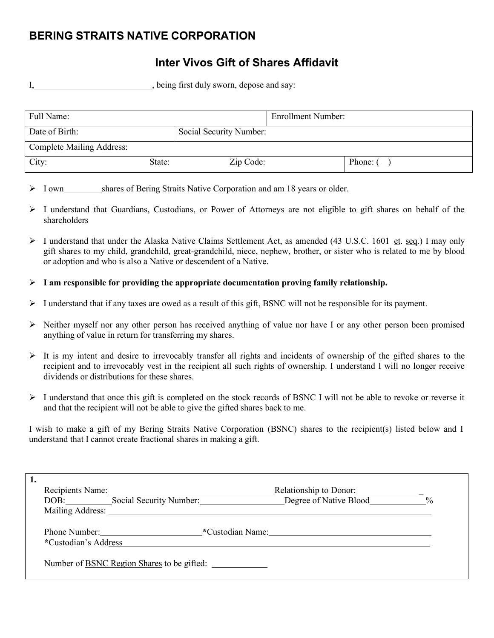## **BERING STRAITS NATIVE CORPORATION**

## **Inter Vivos Gift of Shares Affidavit**

I, being first duly sworn, depose and say:

| Full Name:                |        |                         | <b>Enrollment Number:</b> |          |
|---------------------------|--------|-------------------------|---------------------------|----------|
| Date of Birth:            |        | Social Security Number: |                           |          |
| Complete Mailing Address: |        |                         |                           |          |
| City:                     | State: | Zip Code:               |                           | Phone: ( |

- $\triangleright$  I own shares of Bering Straits Native Corporation and am 18 years or older.
- $\triangleright$  I understand that Guardians, Custodians, or Power of Attorneys are not eligible to gift shares on behalf of the shareholders
- $\triangleright$  I understand that under the Alaska Native Claims Settlement Act, as amended (43 U.S.C. 1601 et. seq.) I may only gift shares to my child, grandchild, great-grandchild, niece, nephew, brother, or sister who is related to me by blood or adoption and who is also a Native or descendent of a Native.
- **I am responsible for providing the appropriate documentation proving family relationship.**
- $\triangleright$  I understand that if any taxes are owed as a result of this gift, BSNC will not be responsible for its payment.
- $\triangleright$  Neither myself nor any other person has received anything of value nor have I or any other person been promised anything of value in return for transferring my shares.
- $\triangleright$  It is my intent and desire to irrevocably transfer all rights and incidents of ownership of the gifted shares to the recipient and to irrevocably vest in the recipient all such rights of ownership. I understand I will no longer receive dividends or distributions for these shares.
- $\triangleright$  I understand that once this gift is completed on the stock records of BSNC I will not be able to revoke or reverse it and that the recipient will not be able to give the gifted shares back to me.

I wish to make a gift of my Bering Straits Native Corporation (BSNC) shares to the recipient(s) listed below and I understand that I cannot create fractional shares in making a gift.

| Recipients Name:<br>DOB: Social Security Number: | Relationship to Donor:<br>Degree of Native Blood | $\frac{0}{0}$ |
|--------------------------------------------------|--------------------------------------------------|---------------|
| Mailing Address:                                 |                                                  |               |
| Phone Number:                                    | *Custodian Name:                                 |               |
| *Custodian's Address                             |                                                  |               |